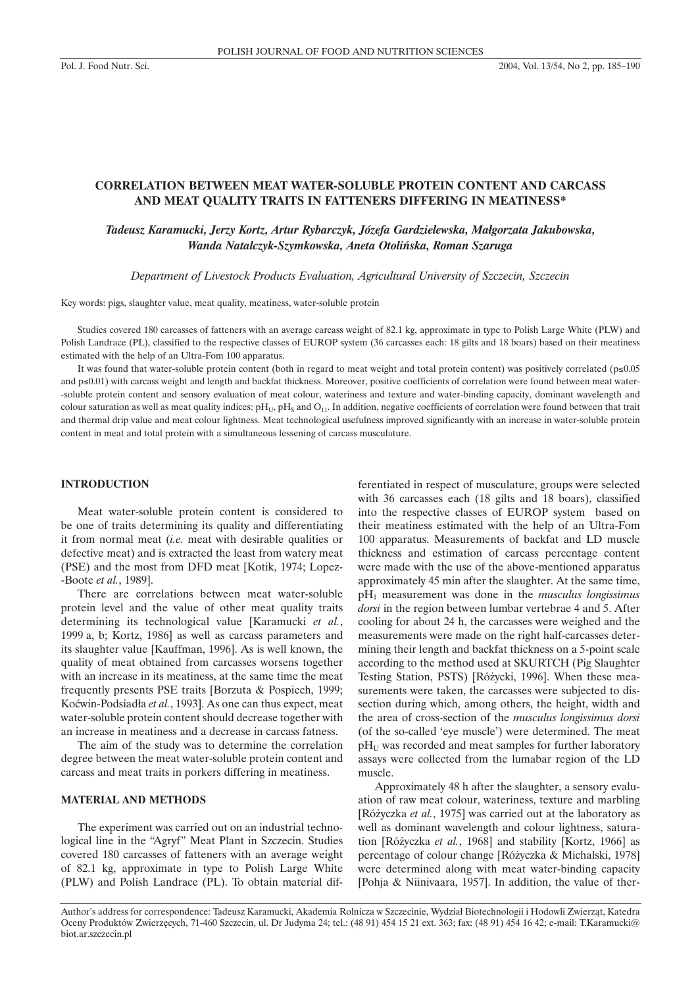# **CORRELATION BETWEEN MEAT WATER-SOLUBLE PROTEIN CONTENT AND CARCASS AND MEAT QUALITY TRAITS IN FATTENERS DIFFERING IN MEATINESS\***

### *Tadeusz Karamucki, Jerzy Kortz, Artur Rybarczyk, Józefa Gardzielewska, Małgorzata Jakubowska, Wanda Natalczyk-Szymkowska, Aneta Otoliƒska, Roman Szaruga*

*Department of Livestock Products Evaluation, Agricultural University of Szczecin, Szczecin*

Key words: pigs, slaughter value, meat quality, meatiness, water-soluble protein

Studies covered 180 carcasses of fatteners with an average carcass weight of 82.1 kg, approximate in type to Polish Large White (PLW) and Polish Landrace (PL), classified to the respective classes of EUROP system (36 carcasses each: 18 gilts and 18 boars) based on their meatiness estimated with the help of an Ultra-Fom 100 apparatus.

It was found that water-soluble protein content (both in regard to meat weight and total protein content) was positively correlated ( $p \le 0.05$ and p≤0.01) with carcass weight and length and backfat thickness. Moreover, positive coefficients of correlation were found between meat water--soluble protein content and sensory evaluation of meat colour, wateriness and texture and water-binding capacity, dominant wavelength and colour saturation as well as meat quality indices:  $pH_U$ ,  $pH_S$  and  $O_{11}$ . In addition, negative coefficients of correlation were found between that trait and thermal drip value and meat colour lightness. Meat technological usefulness improved significantly with an increase in water-soluble protein content in meat and total protein with a simultaneous lessening of carcass musculature.

#### **INTRODUCTION**

Meat water-soluble protein content is considered to be one of traits determining its quality and differentiating it from normal meat (*i.e.* meat with desirable qualities or defective meat) and is extracted the least from watery meat (PSE) and the most from DFD meat [Kotik, 1974; Lopez- -Boote *et al.*, 1989].

There are correlations between meat water-soluble protein level and the value of other meat quality traits determining its technological value [Karamucki *et al.*, 1999 a, b; Kortz, 1986] as well as carcass parameters and its slaughter value [Kauffman, 1996]. As is well known, the quality of meat obtained from carcasses worsens together with an increase in its meatiness, at the same time the meat frequently presents PSE traits [Borzuta & Pospiech, 1999; Koçwin-Podsiadła *et al.*, 1993]. As one can thus expect, meat water-soluble protein content should decrease together with an increase in meatiness and a decrease in carcass fatness.

The aim of the study was to determine the correlation degree between the meat water-soluble protein content and carcass and meat traits in porkers differing in meatiness.

#### **MATERIAL AND METHODS**

The experiment was carried out on an industrial technological line in the "Agryf" Meat Plant in Szczecin. Studies covered 180 carcasses of fatteners with an average weight of 82.1 kg, approximate in type to Polish Large White (PLW) and Polish Landrace (PL). To obtain material differentiated in respect of musculature, groups were selected with 36 carcasses each (18 gilts and 18 boars), classified into the respective classes of EUROP system based on their meatiness estimated with the help of an Ultra-Fom 100 apparatus. Measurements of backfat and LD muscle thickness and estimation of carcass percentage content were made with the use of the above-mentioned apparatus approximately 45 min after the slaughter. At the same time, pH1 measurement was done in the *musculus longissimus dorsi* in the region between lumbar vertebrae 4 and 5. After cooling for about 24 h, the carcasses were weighed and the measurements were made on the right half-carcasses determining their length and backfat thickness on a 5-point scale according to the method used at SKURTCH (Pig Slaughter Testing Station, PSTS) [Różycki, 1996]. When these measurements were taken, the carcasses were subjected to dissection during which, among others, the height, width and the area of cross-section of the *musculus longissimus dorsi* (of the so-called 'eye muscle') were determined. The meat  $pH<sub>U</sub>$  was recorded and meat samples for further laboratory assays were collected from the lumabar region of the LD muscle.

Approximately 48 h after the slaughter, a sensory evaluation of raw meat colour, wateriness, texture and marbling [Różyczka et al., 1975] was carried out at the laboratory as well as dominant wavelength and colour lightness, saturation [Ró˝yczka *et al.*, 1968] and stability [Kortz, 1966] as percentage of colour change [Ró˝yczka & Michalski, 1978] were determined along with meat water-binding capacity [Pohja & Niinivaara, 1957]. In addition, the value of ther-

Author's address for correspondence: Tadeusz Karamucki, Akademia Rolnicza w Szczecinie, Wydział Biotechnologii i Hodowli Zwierzàt, Katedra Oceny Produktów Zwierzęcych, 71-460 Szczecin, ul. Dr Judyma 24; tel.: (48 91) 454 15 21 ext. 363; fax: (48 91) 454 16 42; e-mail: T.Karamucki@ biot.ar.szczecin.pl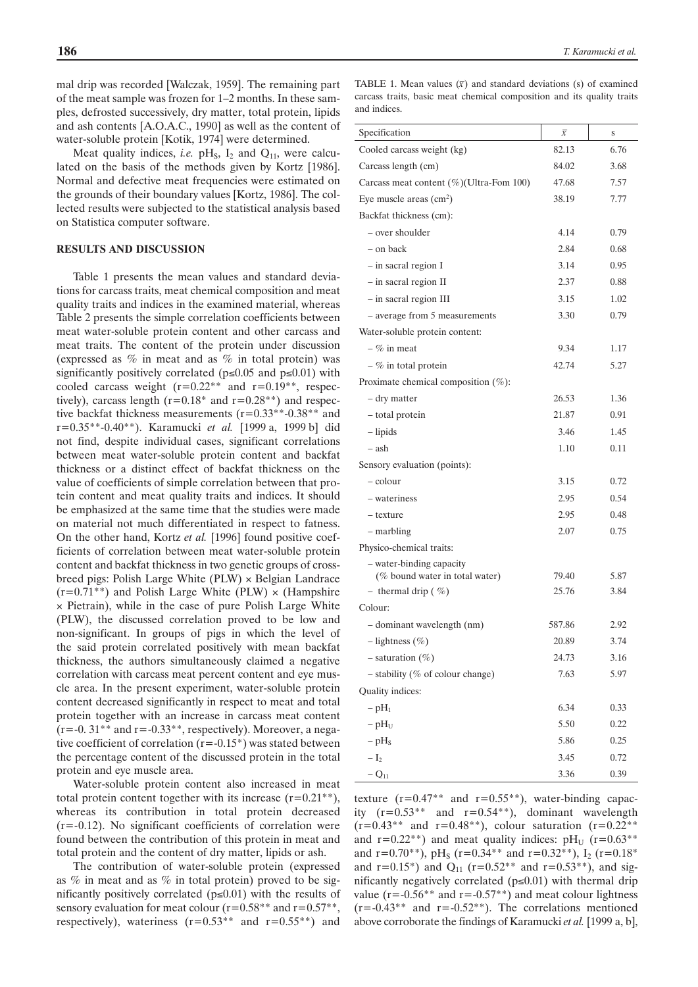mal drip was recorded [Walczak, 1959]. The remaining part of the meat sample was frozen for 1–2 months. In these samples, defrosted successively, dry matter, total protein, lipids and ash contents [A.O.A.C., 1990] as well as the content of water-soluble protein [Kotik, 1974] were determined.

Meat quality indices, *i.e.*  $pH_s$ ,  $I_2$  and  $Q_{11}$ , were calculated on the basis of the methods given by Kortz [1986]. Normal and defective meat frequencies were estimated on the grounds of their boundary values [Kortz, 1986]. The collected results were subjected to the statistical analysis based on Statistica computer software.

#### **RESULTS AND DISCUSSION**

Table 1 presents the mean values and standard deviations for carcass traits, meat chemical composition and meat quality traits and indices in the examined material, whereas Table 2 presents the simple correlation coefficients between meat water-soluble protein content and other carcass and meat traits. The content of the protein under discussion (expressed as % in meat and as % in total protein) was significantly positively correlated ( $p \le 0.05$  and  $p \le 0.01$ ) with cooled carcass weight  $(r=0.22^{**})$  and  $r=0.19^{**}$ , respectively), carcass length ( $r=0.18$ <sup>\*</sup> and  $r=0.28$ <sup>\*</sup>\*) and respective backfat thickness measurements (r=0.33\*\*-0.38\*\* and r=0.35\*\*-0.40\*\*). Karamucki *et al.* [1999 a, 1999 b] did not find, despite individual cases, significant correlations between meat water-soluble protein content and backfat thickness or a distinct effect of backfat thickness on the value of coefficients of simple correlation between that protein content and meat quality traits and indices. It should be emphasized at the same time that the studies were made on material not much differentiated in respect to fatness. On the other hand, Kortz *et al.* [1996] found positive coefficients of correlation between meat water-soluble protein content and backfat thickness in two genetic groups of crossbreed pigs: Polish Large White (PLW) × Belgian Landrace  $(r=0.71^{**})$  and Polish Large White (PLW)  $\times$  (Hampshire × Pietrain), while in the case of pure Polish Large White (PLW), the discussed correlation proved to be low and non-significant. In groups of pigs in which the level of the said protein correlated positively with mean backfat thickness, the authors simultaneously claimed a negative correlation with carcass meat percent content and eye muscle area. In the present experiment, water-soluble protein content decreased significantly in respect to meat and total protein together with an increase in carcass meat content  $(r=-0.31**$  and  $r=-0.33**$ , respectively). Moreover, a negative coefficient of correlation  $(r = -0.15^*)$  was stated between the percentage content of the discussed protein in the total protein and eye muscle area.

Water-soluble protein content also increased in meat total protein content together with its increase  $(r=0.21^{**})$ , whereas its contribution in total protein decreased  $(r=-0.12)$ . No significant coefficients of correlation were found between the contribution of this protein in meat and total protein and the content of dry matter, lipids or ash.

The contribution of water-soluble protein (expressed as % in meat and as % in total protein) proved to be significantly positively correlated ( $p \le 0.01$ ) with the results of sensory evaluation for meat colour  $(r=0.58**$  and  $r=0.57**$ , respectively), wateriness  $(r=0.53**$  and  $r=0.55**$  and

| TABLE 1. Mean values $(\bar{x})$ and standard deviations (s) of examined |  |
|--------------------------------------------------------------------------|--|
| carcass traits, basic meat chemical composition and its quality traits   |  |
| and indices.                                                             |  |

| Specification                               | $\bar{x}$ | S    |
|---------------------------------------------|-----------|------|
| Cooled carcass weight (kg)                  | 82.13     | 6.76 |
| Carcass length (cm)                         | 84.02     | 3.68 |
| Carcass meat content $(\%)$ (Ultra-Fom 100) | 47.68     | 7.57 |
| Eye muscle areas $\text{cm}^2$ )            | 38.19     | 7.77 |
| Backfat thickness (cm):                     |           |      |
| - over shoulder                             | 4.14      | 0.79 |
| – on back                                   | 2.84      | 0.68 |
| - in sacral region I                        | 3.14      | 0.95 |
| $-$ in sacral region II                     | 2.37      | 0.88 |
| $-$ in sacral region III                    | 3.15      | 1.02 |
| - average from 5 measurements               | 3.30      | 0.79 |
| Water-soluble protein content:              |           |      |
| $-$ % in meat                               | 9.34      | 1.17 |
| $-$ % in total protein                      | 42.74     | 5.27 |
| Proximate chemical composition $(\%)$ :     |           |      |
| – dry matter                                | 26.53     | 1.36 |
| – total protein                             | 21.87     | 0.91 |
| $-$ lipids                                  | 3.46      | 1.45 |
| – ash                                       | 1.10      | 0.11 |
| Sensory evaluation (points):                |           |      |
| – colour                                    | 3.15      | 0.72 |
| - wateriness                                | 2.95      | 0.54 |
| - texture                                   | 2.95      | 0.48 |
| – marbling                                  | 2.07      | 0.75 |
| Physico-chemical traits:                    |           |      |
| - water-binding capacity                    |           |      |
| (% bound water in total water)              | 79.40     | 5.87 |
| - thermal drip $(\% )$                      | 25.76     | 3.84 |
| Colour:                                     |           |      |
| - dominant wavelength (nm)                  | 587.86    | 2.92 |
| $-$ lightness $(\% )$                       | 20.89     | 3.74 |
| $-$ saturation $(\%)$                       | 24.73     | 3.16 |
| $-$ stability (% of colour change)          | 7.63      | 5.97 |
| Quality indices:                            |           |      |
| $-$ pH <sub>1</sub>                         | 6.34      | 0.33 |
| $-pH_U$                                     | 5.50      | 0.22 |
| $-$ pH <sub>s</sub>                         | 5.86      | 0.25 |
| $-I_2$                                      | 3.45      | 0.72 |
| $-Q_{11}$                                   | 3.36      | 0.39 |

texture  $(r=0.47**$  and  $r=0.55**$ ), water-binding capacity  $(r=0.53^{**}$  and  $r=0.54^{**}$ ), dominant wavelength  $(r=0.43^{**}$  and  $r=0.48^{**}$ ), colour saturation  $(r=0.22^{**})$ and  $r=0.22**$ ) and meat quality indices:  $pH_U$  ( $r=0.63**$ ) and r=0.70\*\*), pH<sub>S</sub> (r=0.34\*\* and r=0.32\*\*), I<sub>2</sub> (r=0.18<sup>\*</sup>) and  $r=0.15^*$ ) and  $Q_{11}$  ( $r=0.52^{**}$  and  $r=0.53^{**}$ ), and significantly negatively correlated ( $p \le 0.01$ ) with thermal drip value ( $r = -0.56**$  and  $r = -0.57**$ ) and meat colour lightness  $(r=-0.43**$  and  $r=-0.52**$ ). The correlations mentioned above corroborate the findings of Karamucki *et al.* [1999 a, b],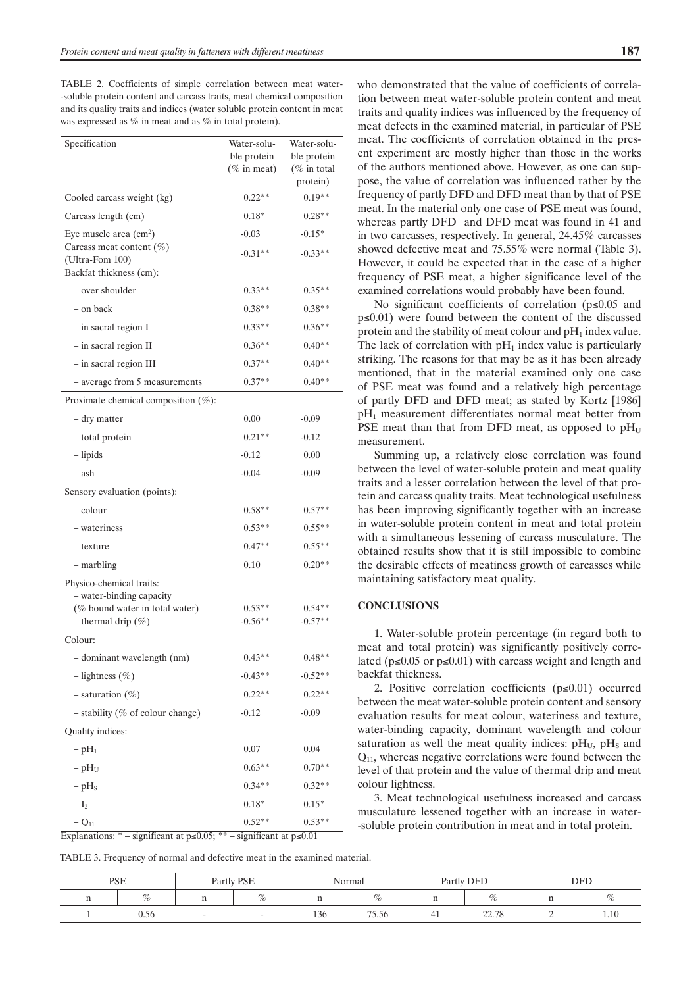TABLE 2. Coefficients of simple correlation between meat water- -soluble protein content and carcass traits, meat chemical composition and its quality traits and indices (water soluble protein content in meat was expressed as % in meat and as % in total protein).

| Specification                                              | Water-solu-                   | Water-solu-                    |  |
|------------------------------------------------------------|-------------------------------|--------------------------------|--|
|                                                            | ble protein<br>$(\%$ in meat) | ble protein<br>( $\%$ in total |  |
|                                                            |                               | protein)                       |  |
| Cooled carcass weight (kg)                                 | $0.22**$                      | $0.19**$                       |  |
| Carcass length (cm)                                        | $0.18*$                       | $0.28**$                       |  |
| Eye muscle area $\text{cm}^2$ )                            | $-0.03$                       | $-0.15*$                       |  |
| Carcass meat content $(\%)$                                | $-0.31**$                     | $-0.33**$                      |  |
| (Ultra-Fom 100)<br>Backfat thickness (cm):                 |                               |                                |  |
| - over shoulder                                            | $0.33**$                      | $0.35**$                       |  |
| - on back                                                  | $0.38**$                      | $0.38**$                       |  |
| $-$ in sacral region I                                     | $0.33**$                      | $0.36**$                       |  |
| $-$ in sacral region II                                    | $0.36**$                      | $0.40**$                       |  |
| - in sacral region III                                     | $0.37**$                      | $0.40**$                       |  |
| - average from 5 measurements                              | $0.37**$                      | $0.40**$                       |  |
| Proximate chemical composition $(\%)$ :                    |                               |                                |  |
| – dry matter                                               | 0.00                          | $-0.09$                        |  |
| - total protein                                            | $0.21**$                      | $-0.12$                        |  |
| – lipids                                                   | $-0.12$                       | 0.00                           |  |
| – ash                                                      | $-0.04$                       | $-0.09$                        |  |
| Sensory evaluation (points):                               |                               |                                |  |
| – colour                                                   | $0.58**$                      | $0.57**$                       |  |
| - wateriness                                               | $0.53**$                      | $0.55**$                       |  |
| - texture                                                  | $0.47**$                      | $0.55**$                       |  |
| $-$ marbling                                               | 0.10                          | $0.20**$                       |  |
| Physico-chemical traits:                                   |                               |                                |  |
| - water-binding capacity<br>(% bound water in total water) | $0.53**$                      | $0.54**$                       |  |
| - thermal drip $(\%)$                                      | $-0.56**$                     | $-0.57**$                      |  |
| Colour:                                                    |                               |                                |  |
| - dominant wavelength (nm)                                 | $0.43**$                      | $0.48**$                       |  |
| $-$ lightness $(\%)$                                       | $-0.43**$                     | $-0.52**$                      |  |
| $-$ saturation $(\%)$                                      | $0.22**$                      | $0.22**$                       |  |
| $-$ stability (% of colour change)                         | $-0.12$                       | $-0.09$                        |  |
| Quality indices:                                           |                               |                                |  |
| $-pH_1$                                                    | 0.07                          | 0.04                           |  |
| $-pH_U$                                                    | $0.63**$                      | $0.70**$                       |  |
| $-pHS$                                                     | $0.34**$                      | $0.32**$                       |  |
| $-I2$                                                      | $0.18*$                       | $0.15*$                        |  |
| $-Q_{11}$                                                  | $0.52**$                      | $0.53**$                       |  |

Explanations: \* – significant at p≤0.05; \*\* – significant at p≤0.01

who demonstrated that the value of coefficients of correlation between meat water-soluble protein content and meat traits and quality indices was influenced by the frequency of meat defects in the examined material, in particular of PSE meat. The coefficients of correlation obtained in the present experiment are mostly higher than those in the works of the authors mentioned above. However, as one can suppose, the value of correlation was influenced rather by the frequency of partly DFD and DFD meat than by that of PSE meat. In the material only one case of PSE meat was found, whereas partly DFD and DFD meat was found in 41 and in two carcasses, respectively. In general, 24.45% carcasses showed defective meat and 75.55% were normal (Table 3). However, it could be expected that in the case of a higher frequency of PSE meat, a higher significance level of the examined correlations would probably have been found.

No significant coefficients of correlation (p≤0.05 and p≤0.01) were found between the content of the discussed protein and the stability of meat colour and  $pH_1$  index value. The lack of correlation with  $pH_1$  index value is particularly striking. The reasons for that may be as it has been already mentioned, that in the material examined only one case of PSE meat was found and a relatively high percentage of partly DFD and DFD meat; as stated by Kortz [1986] pH1 measurement differentiates normal meat better from PSE meat than that from DFD meat, as opposed to  $pH_U$ measurement.

Summing up, a relatively close correlation was found between the level of water-soluble protein and meat quality traits and a lesser correlation between the level of that protein and carcass quality traits. Meat technological usefulness has been improving significantly together with an increase in water-soluble protein content in meat and total protein with a simultaneous lessening of carcass musculature. The obtained results show that it is still impossible to combine the desirable effects of meatiness growth of carcasses while maintaining satisfactory meat quality.

#### **CONCLUSIONS**

1. Water-soluble protein percentage (in regard both to meat and total protein) was significantly positively correlated ( $p≤0.05$  or  $p≤0.01$ ) with carcass weight and length and backfat thickness.

2. Positive correlation coefficients (p≤0.01) occurred between the meat water-soluble protein content and sensory evaluation results for meat colour, wateriness and texture, water-binding capacity, dominant wavelength and colour saturation as well the meat quality indices:  $pH<sub>U</sub>$ ,  $pH<sub>S</sub>$  and  $Q_{11}$ , whereas negative correlations were found between the level of that protein and the value of thermal drip and meat colour lightness.

3. Meat technological usefulness increased and carcass musculature lessened together with an increase in water- -soluble protein contribution in meat and in total protein.

TABLE 3. Frequency of normal and defective meat in the examined material.

| <b>PSE</b> |      | Partly PSE<br>Normal |                       | Partly DFD |     | <b>DFE</b>     |  |      |
|------------|------|----------------------|-----------------------|------------|-----|----------------|--|------|
|            | ~    | %                    |                       | 07,        |     | ~<br>%         |  | %    |
|            | U.56 |                      | $\sim$<br>-46<br>1.JU | 75.56      | -41 | 22.70<br>22.IO |  | 1.10 |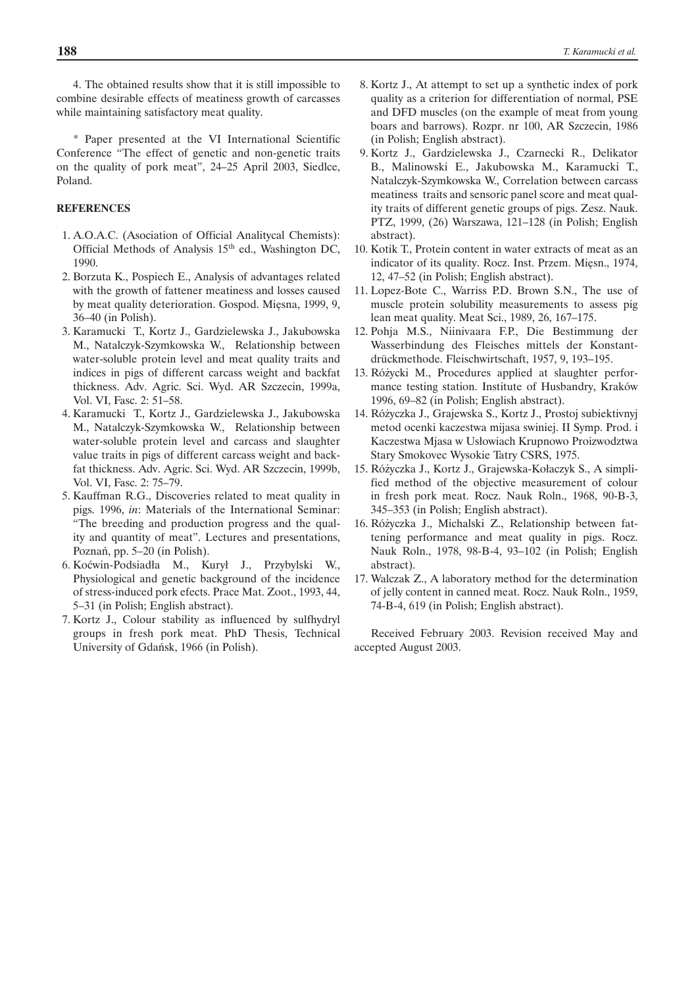4. The obtained results show that it is still impossible to combine desirable effects of meatiness growth of carcasses while maintaining satisfactory meat quality.

\* Paper presented at the VI International Scientific Conference "The effect of genetic and non-genetic traits on the quality of pork meat", 24–25 April 2003, Siedlce, Poland.

#### **REFERENCES**

- 1. A.O.A.C. (Asociation of Official Analitycal Chemists): Official Methods of Analysis 15th ed., Washington DC, 1990.
- 2. Borzuta K., Pospiech E., Analysis of advantages related with the growth of fattener meatiness and losses caused by meat quality deterioration. Gospod. Miesna, 1999, 9, 36–40 (in Polish).
- 3. Karamucki T., Kortz J., Gardzielewska J., Jakubowska M., Natalczyk-Szymkowska W., Relationship between water-soluble protein level and meat quality traits and indices in pigs of different carcass weight and backfat thickness. Adv. Agric. Sci. Wyd. AR Szczecin, 1999a, Vol. VI, Fasc. 2: 51–58.
- 4. Karamucki T., Kortz J., Gardzielewska J., Jakubowska M., Natalczyk-Szymkowska W., Relationship between water-soluble protein level and carcass and slaughter value traits in pigs of different carcass weight and backfat thickness. Adv. Agric. Sci. Wyd. AR Szczecin, 1999b, Vol. VI, Fasc. 2: 75–79.
- 5. Kauffman R.G., Discoveries related to meat quality in pigs. 1996, *in*: Materials of the International Seminar: "The breeding and production progress and the quality and quantity of meat". Lectures and presentations, Poznań, pp. 5–20 (in Polish).
- 6. Koçwin-Podsiadła M., Kurył J., Przybylski W., Physiological and genetic background of the incidence of stress-induced pork efects. Prace Mat. Zoot., 1993, 44, 5–31 (in Polish; English abstract).
- 7. Kortz J., Colour stability as influenced by sulfhydryl groups in fresh pork meat. PhD Thesis, Technical University of Gdańsk, 1966 (in Polish).
- 8. Kortz J., At attempt to set up a synthetic index of pork quality as a criterion for differentiation of normal, PSE and DFD muscles (on the example of meat from young boars and barrows). Rozpr. nr 100, AR Szczecin, 1986 (in Polish; English abstract).
- 9. Kortz J., Gardzielewska J., Czarnecki R., Delikator B., Malinowski E., Jakubowska M., Karamucki T., Natalczyk-Szymkowska W., Correlation between carcass meatiness traits and sensoric panel score and meat quality traits of different genetic groups of pigs. Zesz. Nauk. PTZ, 1999, (26) Warszawa, 121–128 (in Polish; English abstract).
- 10. Kotik T., Protein content in water extracts of meat as an indicator of its quality. Rocz. Inst. Przem. Miesn., 1974, 12, 47–52 (in Polish; English abstract).
- 11. Lopez-Bote C., Warriss P.D. Brown S.N., The use of muscle protein solubility measurements to assess pig lean meat quality. Meat Sci., 1989, 26, 167–175.
- 12. Pohja M.S., Niinivaara F.P., Die Bestimmung der Wasserbindung des Fleisches mittels der Konstantdrückmethode. Fleischwirtschaft, 1957, 9, 193–195.
- 13. Różycki M., Procedures applied at slaughter performance testing station. Institute of Husbandry, Kraków 1996, 69–82 (in Polish; English abstract).
- 14. Różyczka J., Grajewska S., Kortz J., Prostoj subiektivnyj metod ocenki kaczestwa mijasa swiniej. II Symp. Prod. i Kaczestwa Mjasa w Usłowiach Krupnowo Proizwodztwa Stary Smokovec Wysokie Tatry CSRS, 1975.
- 15. Różyczka J., Kortz J., Grajewska-Kołaczyk S., A simplified method of the objective measurement of colour in fresh pork meat. Rocz. Nauk Roln., 1968, 90-B-3, 345–353 (in Polish; English abstract).
- 16. Ró˝yczka J., Michalski Z., Relationship between fattening performance and meat quality in pigs. Rocz. Nauk Roln., 1978, 98-B-4, 93–102 (in Polish; English abstract).
- 17. Walczak Z., A laboratory method for the determination of jelly content in canned meat. Rocz. Nauk Roln., 1959, 74-B-4, 619 (in Polish; English abstract).

Received February 2003. Revision received May and accepted August 2003.